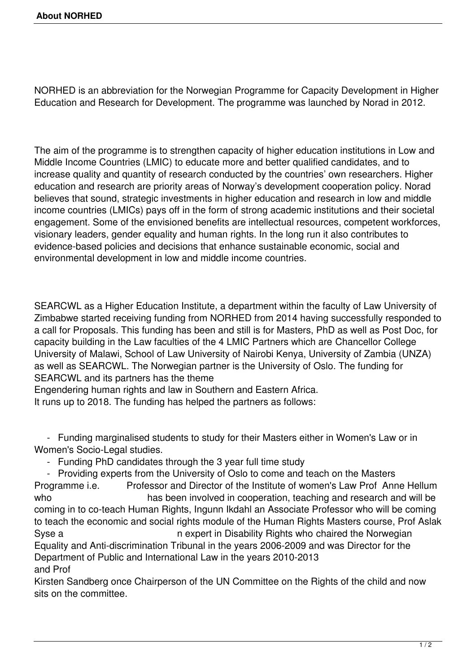NORHED is an abbreviation for the Norwegian Programme for Capacity Development in Higher Education and Research for Development. The programme was launched by Norad in 2012.

The aim of the programme is to strengthen capacity of higher education institutions in Low and Middle Income Countries (LMIC) to educate more and better qualified candidates, and to increase quality and quantity of research conducted by the countries' own researchers. Higher education and research are priority areas of Norway's development cooperation policy. Norad believes that sound, strategic investments in higher education and research in low and middle income countries (LMICs) pays off in the form of strong academic institutions and their societal engagement. Some of the envisioned benefits are intellectual resources, competent workforces, visionary leaders, gender equality and human rights. In the long run it also contributes to evidence-based policies and decisions that enhance sustainable economic, social and environmental development in low and middle income countries.

SEARCWL as a Higher Education Institute, a department within the faculty of Law University of Zimbabwe started receiving funding from NORHED from 2014 having successfully responded to a call for Proposals. This funding has been and still is for Masters, PhD as well as Post Doc, for capacity building in the Law faculties of the 4 LMIC Partners which are Chancellor College University of Malawi, School of Law University of Nairobi Kenya, University of Zambia (UNZA) as well as SEARCWL. The Norwegian partner is the University of Oslo. The funding for SEARCWL and its partners has the theme

Engendering human rights and law in Southern and Eastern Africa.

It runs up to 2018. The funding has helped the partners as follows:

 - Funding marginalised students to study for their Masters either in Women's Law or in Women's Socio-Legal studies.

- Funding PhD candidates through the 3 year full time study

 - Providing experts from the University of Oslo to come and teach on the Masters Programme i.e. Professor and Director of the Institute of women's Law Prof Anne Hellum who **has been involved in cooperation**, teaching and research and will be coming in to co-teach Human Rights, Ingunn Ikdahl an Associate Professor who will be coming to teach the economic and social rights module of the Human Rights Masters course, Prof Aslak Syse a n expert in Disability Rights who chaired the Norwegian Equality and Anti-discrimination Tribunal in the years 2006-2009 and was Director for the Department of Public and International Law in the years 2010-2013 and Prof

Kirsten Sandberg once Chairperson of the UN Committee on the Rights of the child and now sits on the committee.